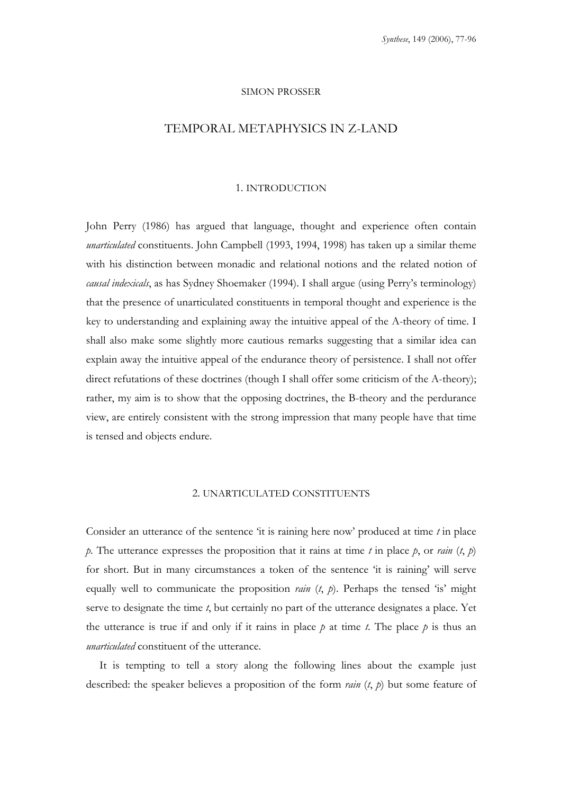#### SIMON PROSSER

# TEMPORAL METAPHYSICS IN Z-LAND

#### 1. INTRODUCTION

John Perry (1986) has argued that language, thought and experience often contain *unarticulated* constituents. John Campbell (1993, 1994, 1998) has taken up a similar theme with his distinction between monadic and relational notions and the related notion of *causal indexicals*, as has Sydney Shoemaker (1994). I shall argue (using Perry's terminology) that the presence of unarticulated constituents in temporal thought and experience is the key to understanding and explaining away the intuitive appeal of the A-theory of time. I shall also make some slightly more cautious remarks suggesting that a similar idea can explain away the intuitive appeal of the endurance theory of persistence. I shall not offer direct refutations of these doctrines (though I shall offer some criticism of the A-theory); rather, my aim is to show that the opposing doctrines, the B-theory and the perdurance view, are entirely consistent with the strong impression that many people have that time is tensed and objects endure.

## 2. UNARTICULATED CONSTITUENTS

Consider an utterance of the sentence 'it is raining here now' produced at time *t* in place *p*. The utterance expresses the proposition that it rains at time *t* in place *p*, or *rain* (*t*, *p*) for short. But in many circumstances a token of the sentence 'it is raining' will serve equally well to communicate the proposition *rain*  $(t, p)$ . Perhaps the tensed 'is' might serve to designate the time *t*, but certainly no part of the utterance designates a place. Yet the utterance is true if and only if it rains in place  $p$  at time  $t$ . The place  $p$  is thus an *unarticulated* constituent of the utterance.

It is tempting to tell a story along the following lines about the example just described: the speaker believes a proposition of the form *rain* (*t*, *p*) but some feature of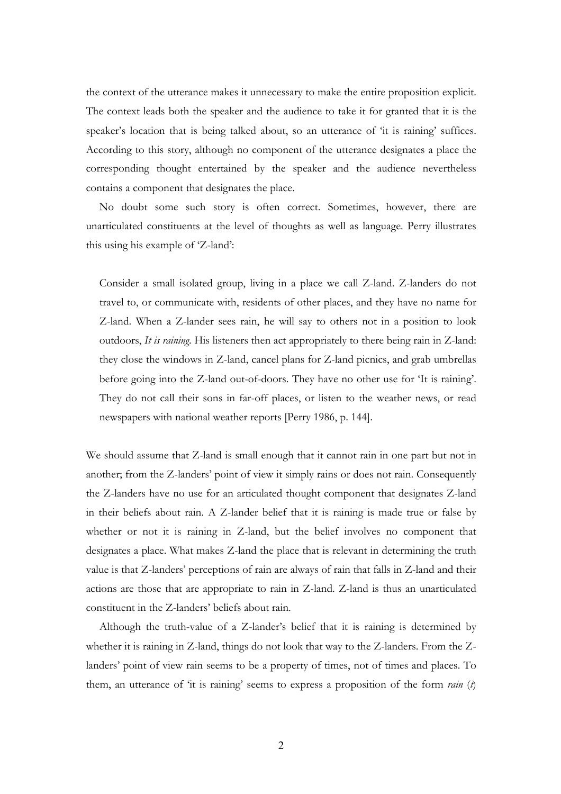the context of the utterance makes it unnecessary to make the entire proposition explicit. The context leads both the speaker and the audience to take it for granted that it is the speaker's location that is being talked about, so an utterance of 'it is raining' suffices. According to this story, although no component of the utterance designates a place the corresponding thought entertained by the speaker and the audience nevertheless contains a component that designates the place.

No doubt some such story is often correct. Sometimes, however, there are unarticulated constituents at the level of thoughts as well as language. Perry illustrates this using his example of 'Z-land':

Consider a small isolated group, living in a place we call Z-land. Z-landers do not travel to, or communicate with, residents of other places, and they have no name for Z-land. When a Z-lander sees rain, he will say to others not in a position to look outdoors, *It is raining*. His listeners then act appropriately to there being rain in Z-land: they close the windows in Z-land, cancel plans for Z-land picnics, and grab umbrellas before going into the Z-land out-of-doors. They have no other use for 'It is raining'. They do not call their sons in far-off places, or listen to the weather news, or read newspapers with national weather reports [Perry 1986, p. 144].

We should assume that Z-land is small enough that it cannot rain in one part but not in another; from the Z-landers' point of view it simply rains or does not rain. Consequently the Z-landers have no use for an articulated thought component that designates Z-land in their beliefs about rain. A Z-lander belief that it is raining is made true or false by whether or not it is raining in Z-land, but the belief involves no component that designates a place. What makes Z-land the place that is relevant in determining the truth value is that Z-landers' perceptions of rain are always of rain that falls in Z-land and their actions are those that are appropriate to rain in Z-land. Z-land is thus an unarticulated constituent in the Z-landers' beliefs about rain.

Although the truth-value of a Z-lander's belief that it is raining is determined by whether it is raining in Z-land, things do not look that way to the Z-landers. From the Zlanders' point of view rain seems to be a property of times, not of times and places. To them, an utterance of 'it is raining' seems to express a proposition of the form *rain* (*t*)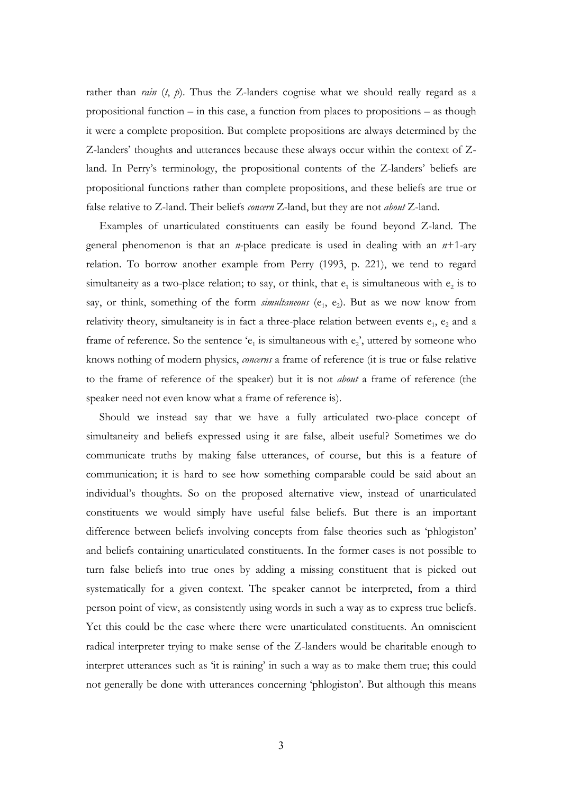rather than *rain* (*t*, *p*). Thus the Z-landers cognise what we should really regard as a propositional function – in this case, a function from places to propositions – as though it were a complete proposition. But complete propositions are always determined by the Z-landers' thoughts and utterances because these always occur within the context of Zland. In Perry's terminology, the propositional contents of the Z-landers' beliefs are propositional functions rather than complete propositions, and these beliefs are true or false relative to Z-land. Their beliefs *concern* Z-land, but they are not *about* Z-land.

Examples of unarticulated constituents can easily be found beyond Z-land. The general phenomenon is that an *n*-place predicate is used in dealing with an *n*+1-ary relation. To borrow another example from Perry (1993, p. 221), we tend to regard simultaneity as a two-place relation; to say, or think, that  $e_1$  is simultaneous with  $e_2$  is to say, or think, something of the form *simultaneous* (e<sub>1</sub>, e<sub>2</sub>). But as we now know from relativity theory, simultaneity is in fact a three-place relation between events  $e_1$ ,  $e_2$  and a frame of reference. So the sentence ' $e_1$  is simultaneous with  $e_2$ ', uttered by someone who knows nothing of modern physics, *concerns* a frame of reference (it is true or false relative to the frame of reference of the speaker) but it is not *about* a frame of reference (the speaker need not even know what a frame of reference is).

Should we instead say that we have a fully articulated two-place concept of simultaneity and beliefs expressed using it are false, albeit useful? Sometimes we do communicate truths by making false utterances, of course, but this is a feature of communication; it is hard to see how something comparable could be said about an individual's thoughts. So on the proposed alternative view, instead of unarticulated constituents we would simply have useful false beliefs. But there is an important difference between beliefs involving concepts from false theories such as 'phlogiston' and beliefs containing unarticulated constituents. In the former cases is not possible to turn false beliefs into true ones by adding a missing constituent that is picked out systematically for a given context. The speaker cannot be interpreted, from a third person point of view, as consistently using words in such a way as to express true beliefs. Yet this could be the case where there were unarticulated constituents. An omniscient radical interpreter trying to make sense of the Z-landers would be charitable enough to interpret utterances such as 'it is raining' in such a way as to make them true; this could not generally be done with utterances concerning 'phlogiston'. But although this means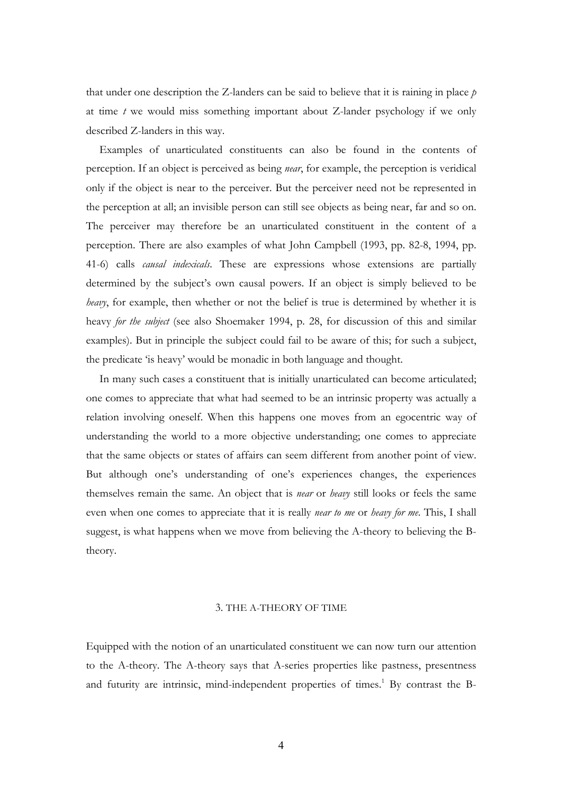that under one description the Z-landers can be said to believe that it is raining in place *p* at time *t* we would miss something important about Z-lander psychology if we only described Z-landers in this way.

Examples of unarticulated constituents can also be found in the contents of perception. If an object is perceived as being *near*, for example, the perception is veridical only if the object is near to the perceiver. But the perceiver need not be represented in the perception at all; an invisible person can still see objects as being near, far and so on. The perceiver may therefore be an unarticulated constituent in the content of a perception. There are also examples of what John Campbell (1993, pp. 82-8, 1994, pp. 41-6) calls *causal indexicals*. These are expressions whose extensions are partially determined by the subject's own causal powers. If an object is simply believed to be *heavy*, for example, then whether or not the belief is true is determined by whether it is heavy *for the subject* (see also Shoemaker 1994, p. 28, for discussion of this and similar examples). But in principle the subject could fail to be aware of this; for such a subject, the predicate 'is heavy' would be monadic in both language and thought.

In many such cases a constituent that is initially unarticulated can become articulated; one comes to appreciate that what had seemed to be an intrinsic property was actually a relation involving oneself. When this happens one moves from an egocentric way of understanding the world to a more objective understanding; one comes to appreciate that the same objects or states of affairs can seem different from another point of view. But although one's understanding of one's experiences changes, the experiences themselves remain the same. An object that is *near* or *heavy* still looks or feels the same even when one comes to appreciate that it is really *near to me* or *heavy for me*. This, I shall suggest, is what happens when we move from believing the A-theory to believing the Btheory.

#### 3. THE A-THEORY OF TIME

Equipped with the notion of an unarticulated constituent we can now turn our attention to the A-theory. The A-theory says that A-series properties like pastness, presentness and futurity are intrinsic, mind-independent properties of times.<sup>1</sup> By contrast the B-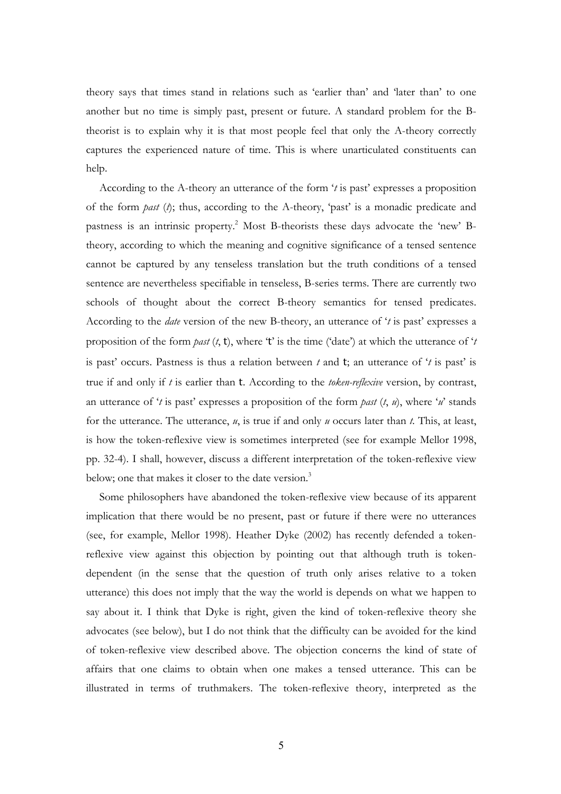theory says that times stand in relations such as 'earlier than' and 'later than' to one another but no time is simply past, present or future. A standard problem for the Btheorist is to explain why it is that most people feel that only the A-theory correctly captures the experienced nature of time. This is where unarticulated constituents can help.

According to the A-theory an utterance of the form '*t* is past' expresses a proposition of the form *past* (*t*); thus, according to the A-theory, 'past' is a monadic predicate and pastness is an intrinsic property.<sup>2</sup> Most B-theorists these days advocate the 'new' Btheory, according to which the meaning and cognitive significance of a tensed sentence cannot be captured by any tenseless translation but the truth conditions of a tensed sentence are nevertheless specifiable in tenseless, B-series terms. There are currently two schools of thought about the correct B-theory semantics for tensed predicates. According to the *date* version of the new B-theory, an utterance of '*t* is past' expresses a proposition of the form *past* (*t*, t), where 't' is the time ('date') at which the utterance of '*t* is past' occurs. Pastness is thus a relation between *t* and t; an utterance of '*t* is past' is true if and only if *t* is earlier than t. According to the *token-reflexive* version, by contrast, an utterance of '*t* is past' expresses a proposition of the form *past* (*t*, *u*), where '*u*' stands for the utterance. The utterance, *u*, is true if and only *u* occurs later than *t*. This, at least, is how the token-reflexive view is sometimes interpreted (see for example Mellor 1998, pp. 32-4). I shall, however, discuss a different interpretation of the token-reflexive view below; one that makes it closer to the date version.<sup>3</sup>

Some philosophers have abandoned the token-reflexive view because of its apparent implication that there would be no present, past or future if there were no utterances (see, for example, Mellor 1998). Heather Dyke (2002) has recently defended a tokenreflexive view against this objection by pointing out that although truth is tokendependent (in the sense that the question of truth only arises relative to a token utterance) this does not imply that the way the world is depends on what we happen to say about it. I think that Dyke is right, given the kind of token-reflexive theory she advocates (see below), but I do not think that the difficulty can be avoided for the kind of token-reflexive view described above. The objection concerns the kind of state of affairs that one claims to obtain when one makes a tensed utterance. This can be illustrated in terms of truthmakers. The token-reflexive theory, interpreted as the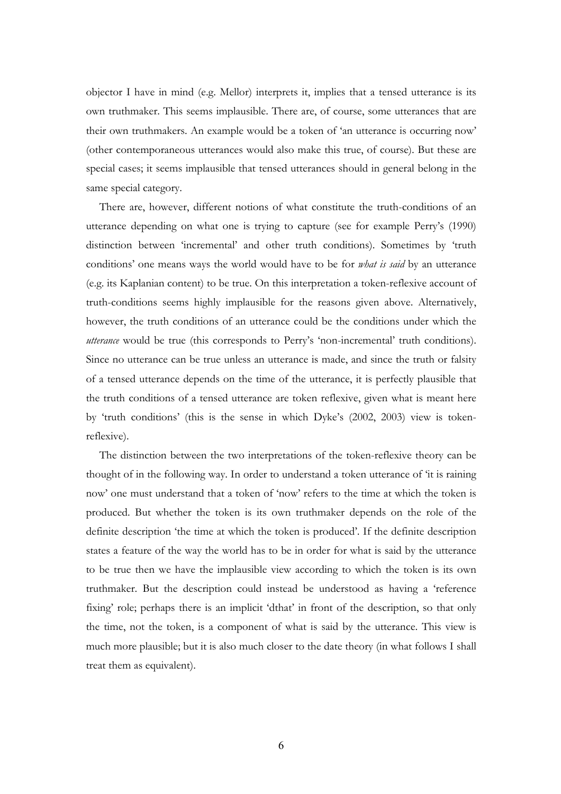objector I have in mind (e.g. Mellor) interprets it, implies that a tensed utterance is its own truthmaker. This seems implausible. There are, of course, some utterances that are their own truthmakers. An example would be a token of 'an utterance is occurring now' (other contemporaneous utterances would also make this true, of course). But these are special cases; it seems implausible that tensed utterances should in general belong in the same special category.

There are, however, different notions of what constitute the truth-conditions of an utterance depending on what one is trying to capture (see for example Perry's (1990) distinction between 'incremental' and other truth conditions). Sometimes by 'truth conditions' one means ways the world would have to be for *what is said* by an utterance (e.g. its Kaplanian content) to be true. On this interpretation a token-reflexive account of truth-conditions seems highly implausible for the reasons given above. Alternatively, however, the truth conditions of an utterance could be the conditions under which the *utterance* would be true (this corresponds to Perry's 'non-incremental' truth conditions). Since no utterance can be true unless an utterance is made, and since the truth or falsity of a tensed utterance depends on the time of the utterance, it is perfectly plausible that the truth conditions of a tensed utterance are token reflexive, given what is meant here by 'truth conditions' (this is the sense in which Dyke's (2002, 2003) view is tokenreflexive).

The distinction between the two interpretations of the token-reflexive theory can be thought of in the following way. In order to understand a token utterance of 'it is raining now' one must understand that a token of 'now' refers to the time at which the token is produced. But whether the token is its own truthmaker depends on the role of the definite description 'the time at which the token is produced'. If the definite description states a feature of the way the world has to be in order for what is said by the utterance to be true then we have the implausible view according to which the token is its own truthmaker. But the description could instead be understood as having a 'reference fixing' role; perhaps there is an implicit 'dthat' in front of the description, so that only the time, not the token, is a component of what is said by the utterance. This view is much more plausible; but it is also much closer to the date theory (in what follows I shall treat them as equivalent).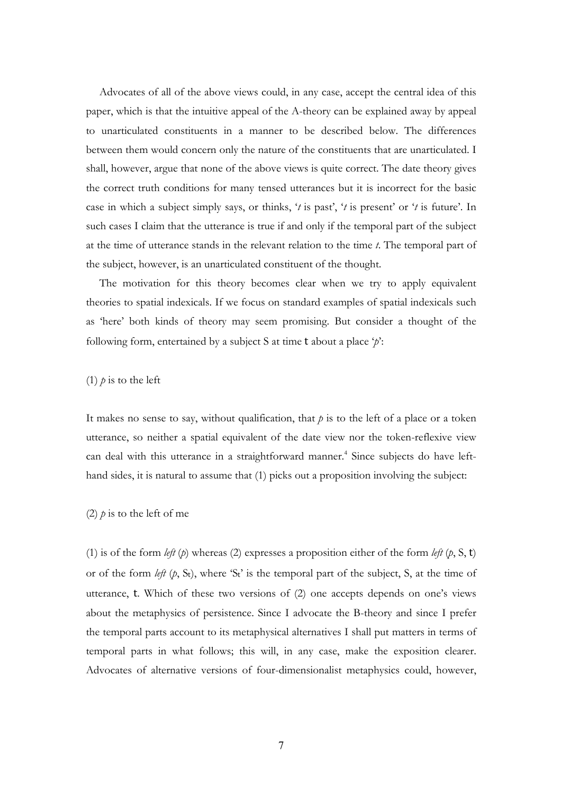Advocates of all of the above views could, in any case, accept the central idea of this paper, which is that the intuitive appeal of the A-theory can be explained away by appeal to unarticulated constituents in a manner to be described below. The differences between them would concern only the nature of the constituents that are unarticulated. I shall, however, argue that none of the above views is quite correct. The date theory gives the correct truth conditions for many tensed utterances but it is incorrect for the basic case in which a subject simply says, or thinks, '*t* is past', '*t* is present' or '*t* is future'. In such cases I claim that the utterance is true if and only if the temporal part of the subject at the time of utterance stands in the relevant relation to the time *t*. The temporal part of the subject, however, is an unarticulated constituent of the thought.

The motivation for this theory becomes clear when we try to apply equivalent theories to spatial indexicals. If we focus on standard examples of spatial indexicals such as 'here' both kinds of theory may seem promising. But consider a thought of the following form, entertained by a subject S at time t about a place '*p*':

## (1)  $\phi$  is to the left

It makes no sense to say, without qualification, that  $p$  is to the left of a place or a token utterance, so neither a spatial equivalent of the date view nor the token-reflexive view can deal with this utterance in a straightforward manner.<sup>4</sup> Since subjects do have lefthand sides, it is natural to assume that (1) picks out a proposition involving the subject:

## (2)  *is to the left of me*

(1) is of the form *left* (*p*) whereas (2) expresses a proposition either of the form *left* (*p*, S, t) or of the form *left* (*p*, St), where 'St' is the temporal part of the subject, S, at the time of utterance, t. Which of these two versions of (2) one accepts depends on one's views about the metaphysics of persistence. Since I advocate the B-theory and since I prefer the temporal parts account to its metaphysical alternatives I shall put matters in terms of temporal parts in what follows; this will, in any case, make the exposition clearer. Advocates of alternative versions of four-dimensionalist metaphysics could, however,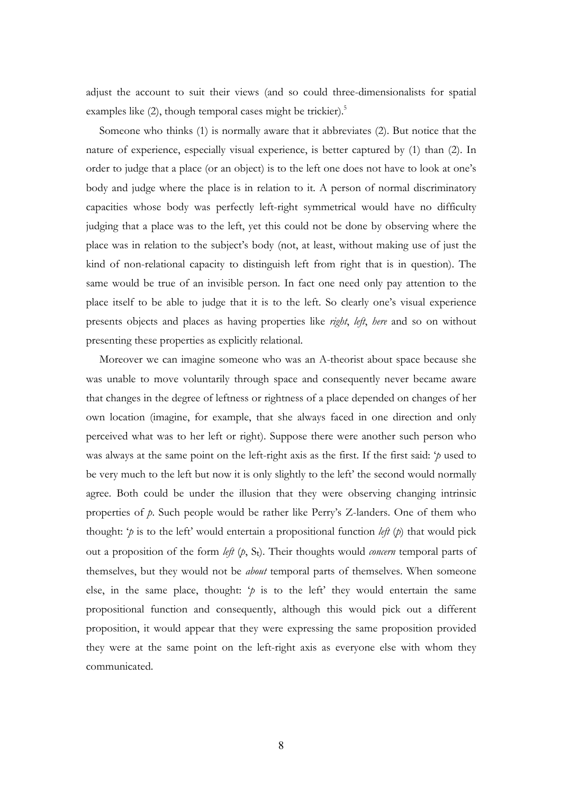adjust the account to suit their views (and so could three-dimensionalists for spatial examples like  $(2)$ , though temporal cases might be trickier).<sup>5</sup>

Someone who thinks (1) is normally aware that it abbreviates (2). But notice that the nature of experience, especially visual experience, is better captured by (1) than (2). In order to judge that a place (or an object) is to the left one does not have to look at one's body and judge where the place is in relation to it. A person of normal discriminatory capacities whose body was perfectly left-right symmetrical would have no difficulty judging that a place was to the left, yet this could not be done by observing where the place was in relation to the subject's body (not, at least, without making use of just the kind of non-relational capacity to distinguish left from right that is in question). The same would be true of an invisible person. In fact one need only pay attention to the place itself to be able to judge that it is to the left. So clearly one's visual experience presents objects and places as having properties like *right*, *left*, *here* and so on without presenting these properties as explicitly relational.

Moreover we can imagine someone who was an A-theorist about space because she was unable to move voluntarily through space and consequently never became aware that changes in the degree of leftness or rightness of a place depended on changes of her own location (imagine, for example, that she always faced in one direction and only perceived what was to her left or right). Suppose there were another such person who was always at the same point on the left-right axis as the first. If the first said: '*p* used to be very much to the left but now it is only slightly to the left' the second would normally agree. Both could be under the illusion that they were observing changing intrinsic properties of *p*. Such people would be rather like Perry's Z-landers. One of them who thought: '*p* is to the left' would entertain a propositional function *left* (*p*) that would pick out a proposition of the form *left* (*p*, St). Their thoughts would *concern* temporal parts of themselves, but they would not be *about* temporal parts of themselves. When someone else, in the same place, thought: '*p* is to the left' they would entertain the same propositional function and consequently, although this would pick out a different proposition, it would appear that they were expressing the same proposition provided they were at the same point on the left-right axis as everyone else with whom they communicated.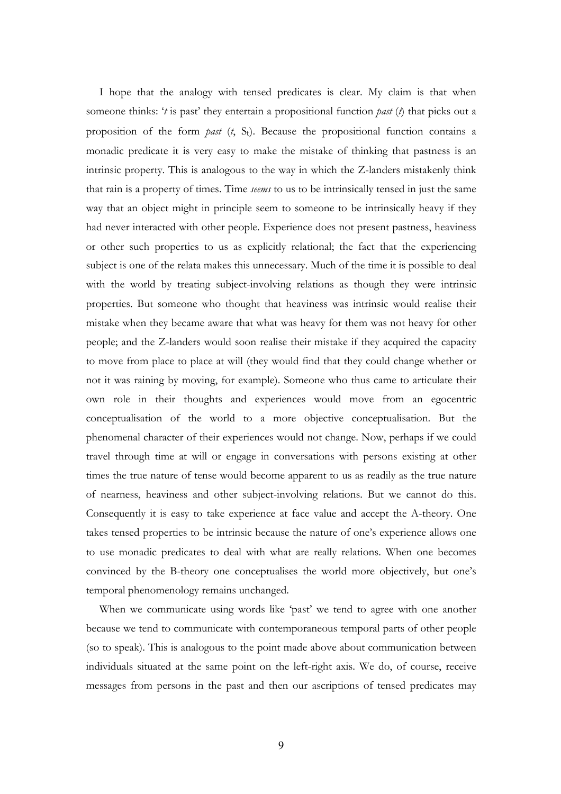I hope that the analogy with tensed predicates is clear. My claim is that when someone thinks: '*t* is past' they entertain a propositional function *past* (*t*) that picks out a proposition of the form *past* (*t*, St). Because the propositional function contains a monadic predicate it is very easy to make the mistake of thinking that pastness is an intrinsic property. This is analogous to the way in which the Z-landers mistakenly think that rain is a property of times. Time *seems* to us to be intrinsically tensed in just the same way that an object might in principle seem to someone to be intrinsically heavy if they had never interacted with other people. Experience does not present pastness, heaviness or other such properties to us as explicitly relational; the fact that the experiencing subject is one of the relata makes this unnecessary. Much of the time it is possible to deal with the world by treating subject-involving relations as though they were intrinsic properties. But someone who thought that heaviness was intrinsic would realise their mistake when they became aware that what was heavy for them was not heavy for other people; and the Z-landers would soon realise their mistake if they acquired the capacity to move from place to place at will (they would find that they could change whether or not it was raining by moving, for example). Someone who thus came to articulate their own role in their thoughts and experiences would move from an egocentric conceptualisation of the world to a more objective conceptualisation. But the phenomenal character of their experiences would not change. Now, perhaps if we could travel through time at will or engage in conversations with persons existing at other times the true nature of tense would become apparent to us as readily as the true nature of nearness, heaviness and other subject-involving relations. But we cannot do this. Consequently it is easy to take experience at face value and accept the A-theory. One takes tensed properties to be intrinsic because the nature of one's experience allows one to use monadic predicates to deal with what are really relations. When one becomes convinced by the B-theory one conceptualises the world more objectively, but one's temporal phenomenology remains unchanged.

When we communicate using words like 'past' we tend to agree with one another because we tend to communicate with contemporaneous temporal parts of other people (so to speak). This is analogous to the point made above about communication between individuals situated at the same point on the left-right axis. We do, of course, receive messages from persons in the past and then our ascriptions of tensed predicates may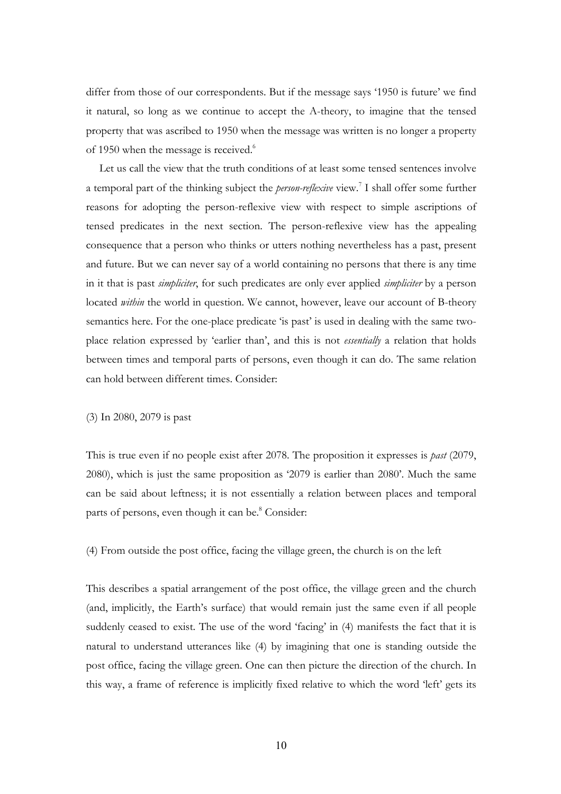differ from those of our correspondents. But if the message says '1950 is future' we find it natural, so long as we continue to accept the A-theory, to imagine that the tensed property that was ascribed to 1950 when the message was written is no longer a property of 1950 when the message is received.<sup>6</sup>

Let us call the view that the truth conditions of at least some tensed sentences involve a temporal part of the thinking subject the *person-reflexive* view.<sup>7</sup> I shall offer some further reasons for adopting the person-reflexive view with respect to simple ascriptions of tensed predicates in the next section. The person-reflexive view has the appealing consequence that a person who thinks or utters nothing nevertheless has a past, present and future. But we can never say of a world containing no persons that there is any time in it that is past *simpliciter*, for such predicates are only ever applied *simpliciter* by a person located *within* the world in question. We cannot, however, leave our account of B-theory semantics here. For the one-place predicate 'is past' is used in dealing with the same twoplace relation expressed by 'earlier than', and this is not *essentially* a relation that holds between times and temporal parts of persons, even though it can do. The same relation can hold between different times. Consider:

## (3) In 2080, 2079 is past

This is true even if no people exist after 2078. The proposition it expresses is *past* (2079, 2080), which is just the same proposition as '2079 is earlier than 2080'. Much the same can be said about leftness; it is not essentially a relation between places and temporal parts of persons, even though it can be. $8 \text{ Consider:}$ 

(4) From outside the post office, facing the village green, the church is on the left

This describes a spatial arrangement of the post office, the village green and the church (and, implicitly, the Earth's surface) that would remain just the same even if all people suddenly ceased to exist. The use of the word 'facing' in (4) manifests the fact that it is natural to understand utterances like (4) by imagining that one is standing outside the post office, facing the village green. One can then picture the direction of the church. In this way, a frame of reference is implicitly fixed relative to which the word 'left' gets its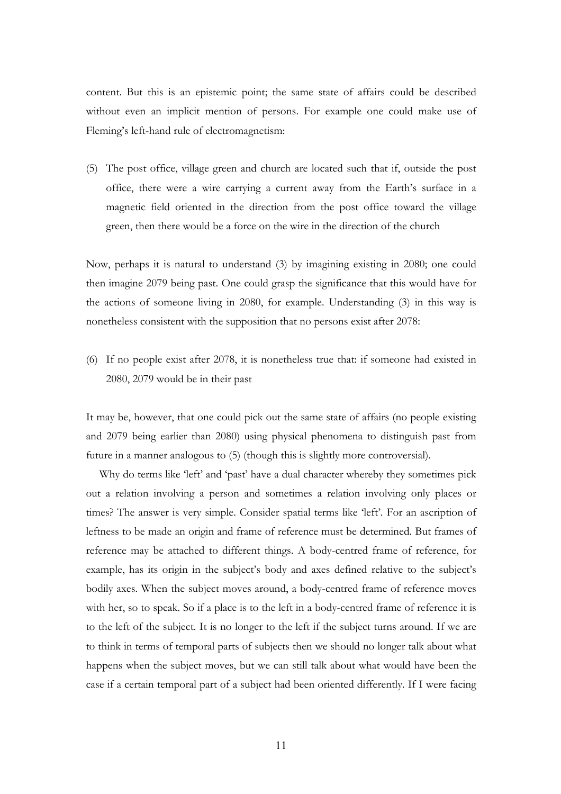content. But this is an epistemic point; the same state of affairs could be described without even an implicit mention of persons. For example one could make use of Fleming's left-hand rule of electromagnetism:

(5) The post office, village green and church are located such that if, outside the post office, there were a wire carrying a current away from the Earth's surface in a magnetic field oriented in the direction from the post office toward the village green, then there would be a force on the wire in the direction of the church

Now, perhaps it is natural to understand (3) by imagining existing in 2080; one could then imagine 2079 being past. One could grasp the significance that this would have for the actions of someone living in 2080, for example. Understanding (3) in this way is nonetheless consistent with the supposition that no persons exist after 2078:

(6) If no people exist after 2078, it is nonetheless true that: if someone had existed in 2080, 2079 would be in their past

It may be, however, that one could pick out the same state of affairs (no people existing and 2079 being earlier than 2080) using physical phenomena to distinguish past from future in a manner analogous to (5) (though this is slightly more controversial).

Why do terms like 'left' and 'past' have a dual character whereby they sometimes pick out a relation involving a person and sometimes a relation involving only places or times? The answer is very simple. Consider spatial terms like 'left'. For an ascription of leftness to be made an origin and frame of reference must be determined. But frames of reference may be attached to different things. A body-centred frame of reference, for example, has its origin in the subject's body and axes defined relative to the subject's bodily axes. When the subject moves around, a body-centred frame of reference moves with her, so to speak. So if a place is to the left in a body-centred frame of reference it is to the left of the subject. It is no longer to the left if the subject turns around. If we are to think in terms of temporal parts of subjects then we should no longer talk about what happens when the subject moves, but we can still talk about what would have been the case if a certain temporal part of a subject had been oriented differently. If I were facing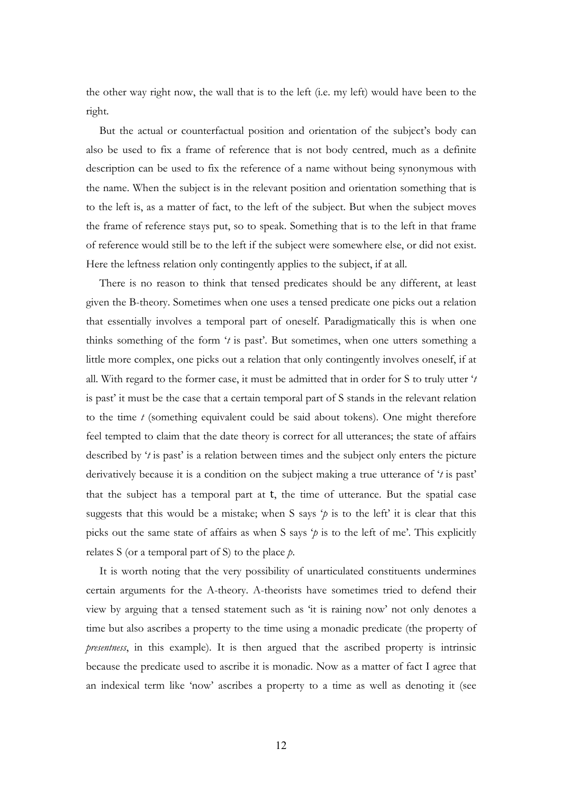the other way right now, the wall that is to the left (i.e. my left) would have been to the right.

But the actual or counterfactual position and orientation of the subject's body can also be used to fix a frame of reference that is not body centred, much as a definite description can be used to fix the reference of a name without being synonymous with the name. When the subject is in the relevant position and orientation something that is to the left is, as a matter of fact, to the left of the subject. But when the subject moves the frame of reference stays put, so to speak. Something that is to the left in that frame of reference would still be to the left if the subject were somewhere else, or did not exist. Here the leftness relation only contingently applies to the subject, if at all.

There is no reason to think that tensed predicates should be any different, at least given the B-theory. Sometimes when one uses a tensed predicate one picks out a relation that essentially involves a temporal part of oneself. Paradigmatically this is when one thinks something of the form '*t* is past'. But sometimes, when one utters something a little more complex, one picks out a relation that only contingently involves oneself, if at all. With regard to the former case, it must be admitted that in order for S to truly utter '*t* is past' it must be the case that a certain temporal part of S stands in the relevant relation to the time *t* (something equivalent could be said about tokens). One might therefore feel tempted to claim that the date theory is correct for all utterances; the state of affairs described by '*t* is past' is a relation between times and the subject only enters the picture derivatively because it is a condition on the subject making a true utterance of '*t* is past' that the subject has a temporal part at t, the time of utterance. But the spatial case suggests that this would be a mistake; when S says '*p* is to the left' it is clear that this picks out the same state of affairs as when S says '*p* is to the left of me'. This explicitly relates S (or a temporal part of S) to the place *p*.

It is worth noting that the very possibility of unarticulated constituents undermines certain arguments for the A-theory. A-theorists have sometimes tried to defend their view by arguing that a tensed statement such as 'it is raining now' not only denotes a time but also ascribes a property to the time using a monadic predicate (the property of *presentness*, in this example). It is then argued that the ascribed property is intrinsic because the predicate used to ascribe it is monadic. Now as a matter of fact I agree that an indexical term like 'now' ascribes a property to a time as well as denoting it (see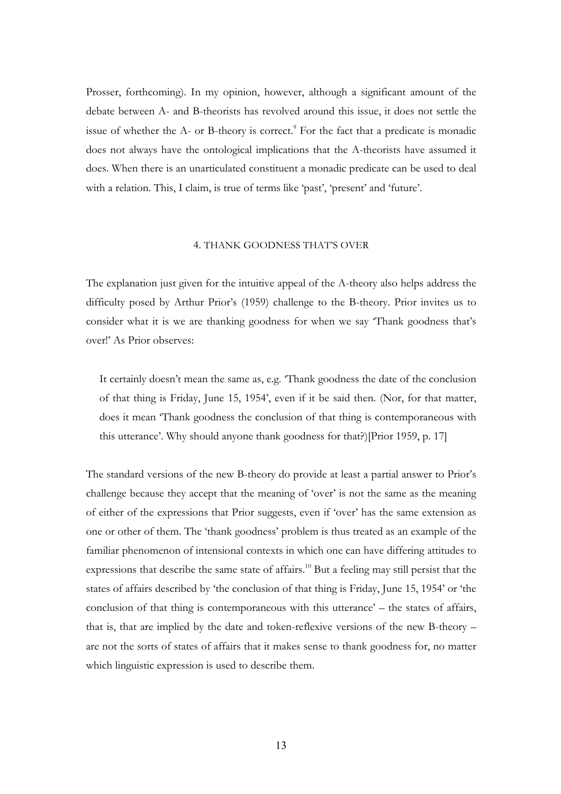Prosser, forthcoming). In my opinion, however, although a significant amount of the debate between A- and B-theorists has revolved around this issue, it does not settle the issue of whether the  $A$ - or  $B$ -theory is correct.<sup>9</sup> For the fact that a predicate is monadic does not always have the ontological implications that the A-theorists have assumed it does. When there is an unarticulated constituent a monadic predicate can be used to deal with a relation. This, I claim, is true of terms like 'past', 'present' and 'future'.

## 4. THANK GOODNESS THAT'S OVER

The explanation just given for the intuitive appeal of the A-theory also helps address the difficulty posed by Arthur Prior's (1959) challenge to the B-theory. Prior invites us to consider what it is we are thanking goodness for when we say 'Thank goodness that's over!' As Prior observes:

It certainly doesn't mean the same as, e.g. 'Thank goodness the date of the conclusion of that thing is Friday, June 15, 1954', even if it be said then. (Nor, for that matter, does it mean 'Thank goodness the conclusion of that thing is contemporaneous with this utterance'. Why should anyone thank goodness for that?)[Prior 1959, p. 17]

The standard versions of the new B-theory do provide at least a partial answer to Prior's challenge because they accept that the meaning of 'over' is not the same as the meaning of either of the expressions that Prior suggests, even if 'over' has the same extension as one or other of them. The 'thank goodness' problem is thus treated as an example of the familiar phenomenon of intensional contexts in which one can have differing attitudes to expressions that describe the same state of affairs.<sup>10</sup> But a feeling may still persist that the states of affairs described by 'the conclusion of that thing is Friday, June 15, 1954' or 'the conclusion of that thing is contemporaneous with this utterance' – the states of affairs, that is, that are implied by the date and token-reflexive versions of the new B-theory – are not the sorts of states of affairs that it makes sense to thank goodness for, no matter which linguistic expression is used to describe them.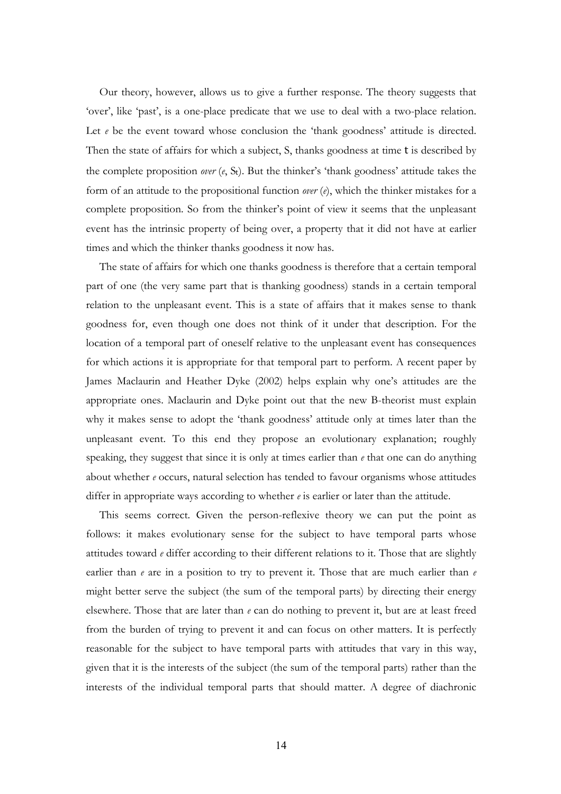Our theory, however, allows us to give a further response. The theory suggests that 'over', like 'past', is a one-place predicate that we use to deal with a two-place relation. Let *e* be the event toward whose conclusion the 'thank goodness' attitude is directed. Then the state of affairs for which a subject, S, thanks goodness at time t is described by the complete proposition *over* (*e*, St). But the thinker's 'thank goodness' attitude takes the form of an attitude to the propositional function *over* (*e*), which the thinker mistakes for a complete proposition. So from the thinker's point of view it seems that the unpleasant event has the intrinsic property of being over, a property that it did not have at earlier times and which the thinker thanks goodness it now has.

The state of affairs for which one thanks goodness is therefore that a certain temporal part of one (the very same part that is thanking goodness) stands in a certain temporal relation to the unpleasant event. This is a state of affairs that it makes sense to thank goodness for, even though one does not think of it under that description. For the location of a temporal part of oneself relative to the unpleasant event has consequences for which actions it is appropriate for that temporal part to perform. A recent paper by James Maclaurin and Heather Dyke (2002) helps explain why one's attitudes are the appropriate ones. Maclaurin and Dyke point out that the new B-theorist must explain why it makes sense to adopt the 'thank goodness' attitude only at times later than the unpleasant event. To this end they propose an evolutionary explanation; roughly speaking, they suggest that since it is only at times earlier than *e* that one can do anything about whether *e* occurs, natural selection has tended to favour organisms whose attitudes differ in appropriate ways according to whether *e* is earlier or later than the attitude.

This seems correct. Given the person-reflexive theory we can put the point as follows: it makes evolutionary sense for the subject to have temporal parts whose attitudes toward *e* differ according to their different relations to it. Those that are slightly earlier than *e* are in a position to try to prevent it. Those that are much earlier than *e* might better serve the subject (the sum of the temporal parts) by directing their energy elsewhere. Those that are later than *e* can do nothing to prevent it, but are at least freed from the burden of trying to prevent it and can focus on other matters. It is perfectly reasonable for the subject to have temporal parts with attitudes that vary in this way, given that it is the interests of the subject (the sum of the temporal parts) rather than the interests of the individual temporal parts that should matter. A degree of diachronic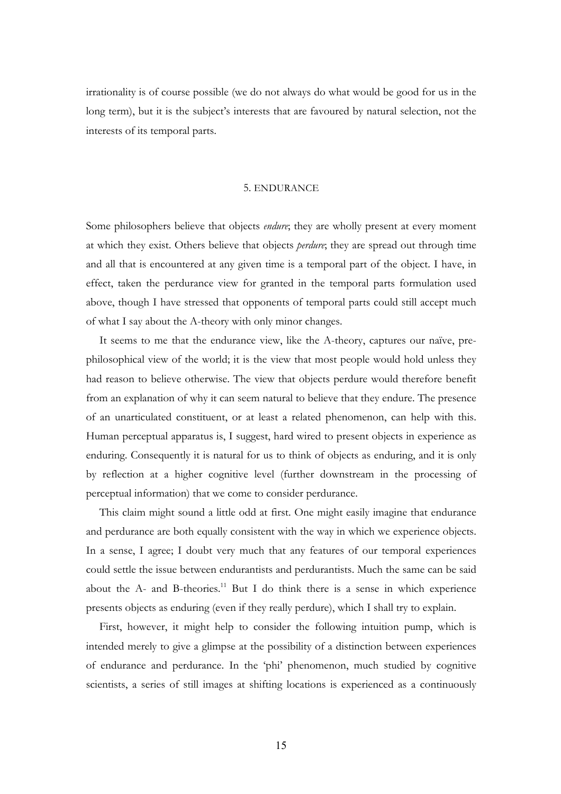irrationality is of course possible (we do not always do what would be good for us in the long term), but it is the subject's interests that are favoured by natural selection, not the interests of its temporal parts.

#### 5. ENDURANCE

Some philosophers believe that objects *endure*; they are wholly present at every moment at which they exist. Others believe that objects *perdure*; they are spread out through time and all that is encountered at any given time is a temporal part of the object. I have, in effect, taken the perdurance view for granted in the temporal parts formulation used above, though I have stressed that opponents of temporal parts could still accept much of what I say about the A-theory with only minor changes.

It seems to me that the endurance view, like the A-theory, captures our naïve, prephilosophical view of the world; it is the view that most people would hold unless they had reason to believe otherwise. The view that objects perdure would therefore benefit from an explanation of why it can seem natural to believe that they endure. The presence of an unarticulated constituent, or at least a related phenomenon, can help with this. Human perceptual apparatus is, I suggest, hard wired to present objects in experience as enduring. Consequently it is natural for us to think of objects as enduring, and it is only by reflection at a higher cognitive level (further downstream in the processing of perceptual information) that we come to consider perdurance.

This claim might sound a little odd at first. One might easily imagine that endurance and perdurance are both equally consistent with the way in which we experience objects. In a sense, I agree; I doubt very much that any features of our temporal experiences could settle the issue between endurantists and perdurantists. Much the same can be said about the  $A$ - and  $B$ -theories.<sup>11</sup> But I do think there is a sense in which experience presents objects as enduring (even if they really perdure), which I shall try to explain.

First, however, it might help to consider the following intuition pump, which is intended merely to give a glimpse at the possibility of a distinction between experiences of endurance and perdurance. In the 'phi' phenomenon, much studied by cognitive scientists, a series of still images at shifting locations is experienced as a continuously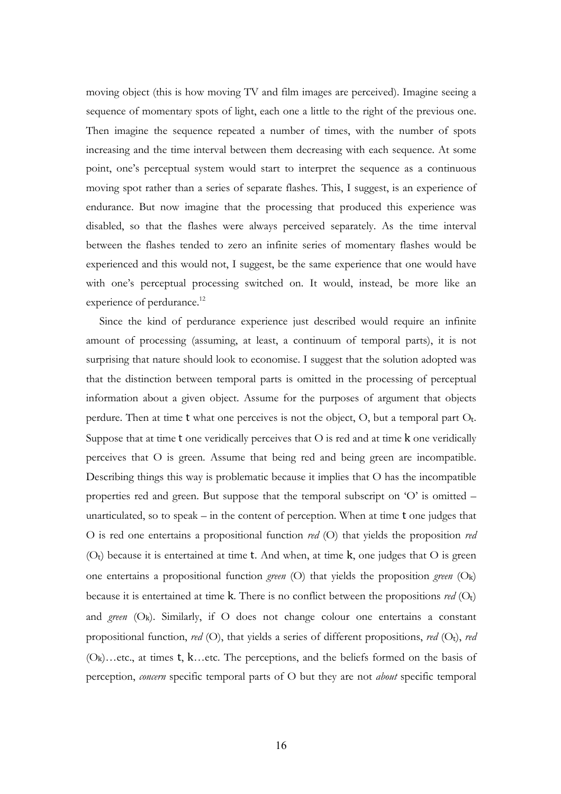moving object (this is how moving TV and film images are perceived). Imagine seeing a sequence of momentary spots of light, each one a little to the right of the previous one. Then imagine the sequence repeated a number of times, with the number of spots increasing and the time interval between them decreasing with each sequence. At some point, one's perceptual system would start to interpret the sequence as a continuous moving spot rather than a series of separate flashes. This, I suggest, is an experience of endurance. But now imagine that the processing that produced this experience was disabled, so that the flashes were always perceived separately. As the time interval between the flashes tended to zero an infinite series of momentary flashes would be experienced and this would not, I suggest, be the same experience that one would have with one's perceptual processing switched on. It would, instead, be more like an experience of perdurance.<sup>12</sup>

Since the kind of perdurance experience just described would require an infinite amount of processing (assuming, at least, a continuum of temporal parts), it is not surprising that nature should look to economise. I suggest that the solution adopted was that the distinction between temporal parts is omitted in the processing of perceptual information about a given object. Assume for the purposes of argument that objects perdure. Then at time  $t$  what one perceives is not the object, O, but a temporal part  $O_t$ . Suppose that at time t one veridically perceives that O is red and at time k one veridically perceives that O is green. Assume that being red and being green are incompatible. Describing things this way is problematic because it implies that O has the incompatible properties red and green. But suppose that the temporal subscript on 'O' is omitted – unarticulated, so to speak – in the content of perception. When at time t one judges that O is red one entertains a propositional function *red* (O) that yields the proposition *red*  $(O<sub>t</sub>)$  because it is entertained at time t. And when, at time k, one judges that O is green one entertains a propositional function *green* (O) that yields the proposition *green* (Ok) because it is entertained at time k. There is no conflict between the propositions *red* (Ot) and *green* (Ok). Similarly, if O does not change colour one entertains a constant propositional function, *red* (O), that yields a series of different propositions, *red* (Ot), *red*  $(O_k)$ …etc., at times t, k…etc. The perceptions, and the beliefs formed on the basis of perception, *concern* specific temporal parts of O but they are not *about* specific temporal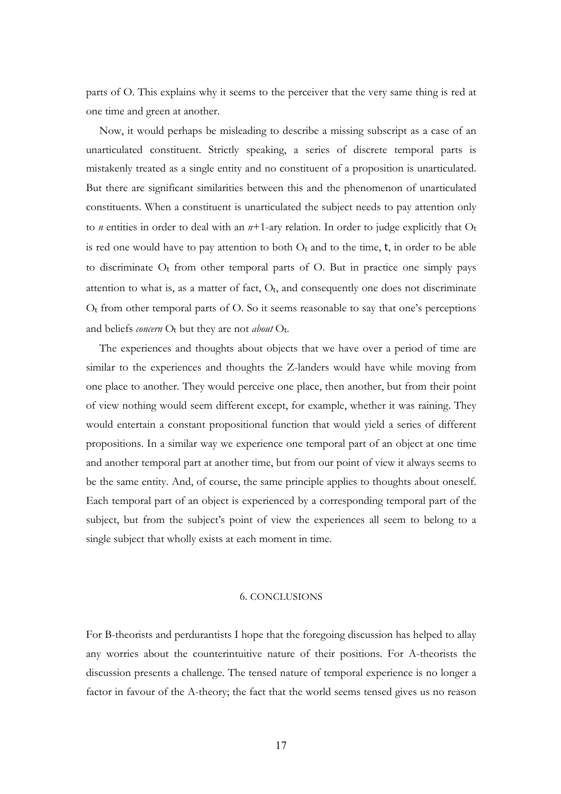parts of O. This explains why it seems to the perceiver that the very same thing is red at one time and green at another.

Now, it would perhaps be misleading to describe a missing subscript as a case of an unarticulated constituent. Strictly speaking, a series of discrete temporal parts is mistakenly treated as a single entity and no constituent of a proposition is unarticulated. But there are significant similarities between this and the phenomenon of unarticulated constituents. When a constituent is unarticulated the subject needs to pay attention only to *n* entities in order to deal with an *n*+1-ary relation. In order to judge explicitly that O<sup>t</sup> is red one would have to pay attention to both  $O_t$  and to the time,  $t$ , in order to be able to discriminate  $O_t$  from other temporal parts of  $O$ . But in practice one simply pays attention to what is, as a matter of fact,  $O_t$ , and consequently one does not discriminate O<sup>t</sup> from other temporal parts of O. So it seems reasonable to say that one's perceptions and beliefs *concern* O<sub>t</sub> but they are not *about* O<sub>t</sub>.

The experiences and thoughts about objects that we have over a period of time are similar to the experiences and thoughts the Z-landers would have while moving from one place to another. They would perceive one place, then another, but from their point of view nothing would seem different except, for example, whether it was raining. They would entertain a constant propositional function that would yield a series of different propositions. In a similar way we experience one temporal part of an object at one time and another temporal part at another time, but from our point of view it always seems to be the same entity. And, of course, the same principle applies to thoughts about oneself. Each temporal part of an object is experienced by a corresponding temporal part of the subject, but from the subject's point of view the experiences all seem to belong to a single subject that wholly exists at each moment in time.

## 6. CONCLUSIONS

For B-theorists and perdurantists I hope that the foregoing discussion has helped to allay any worries about the counterintuitive nature of their positions. For A-theorists the discussion presents a challenge. The tensed nature of temporal experience is no longer a factor in favour of the A-theory; the fact that the world seems tensed gives us no reason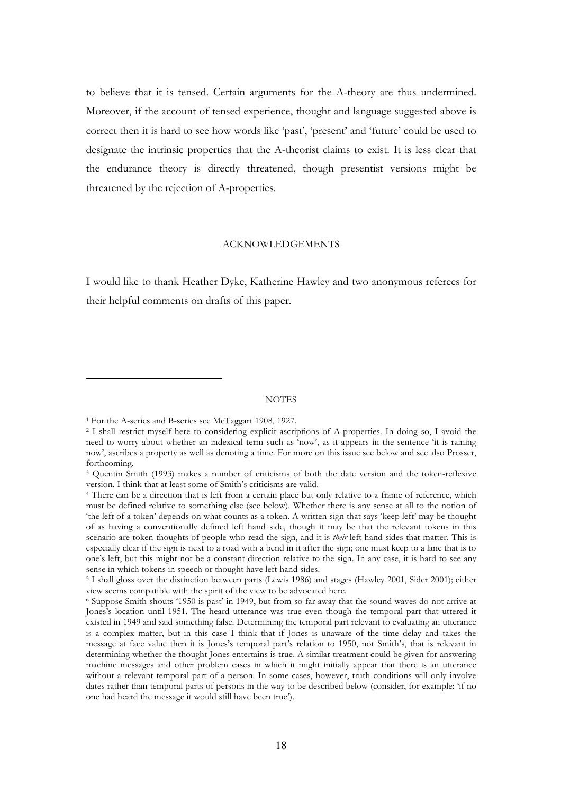to believe that it is tensed. Certain arguments for the A-theory are thus undermined. Moreover, if the account of tensed experience, thought and language suggested above is correct then it is hard to see how words like 'past', 'present' and 'future' could be used to designate the intrinsic properties that the A-theorist claims to exist. It is less clear that the endurance theory is directly threatened, though presentist versions might be threatened by the rejection of A-properties.

## ACKNOWLEDGEMENTS

I would like to thank Heather Dyke, Katherine Hawley and two anonymous referees for their helpful comments on drafts of this paper.

#### **NOTES**

 $\overline{a}$ 

<sup>1</sup> For the A-series and B-series see McTaggart 1908, 1927.

<sup>2</sup> I shall restrict myself here to considering explicit ascriptions of A-properties. In doing so, I avoid the need to worry about whether an indexical term such as 'now', as it appears in the sentence 'it is raining now', ascribes a property as well as denoting a time. For more on this issue see below and see also Prosser, forthcoming.

<sup>3</sup> Quentin Smith (1993) makes a number of criticisms of both the date version and the token-reflexive version. I think that at least some of Smith's criticisms are valid.

<sup>4</sup> There can be a direction that is left from a certain place but only relative to a frame of reference, which must be defined relative to something else (see below). Whether there is any sense at all to the notion of 'the left of a token' depends on what counts as a token. A written sign that says 'keep left' may be thought of as having a conventionally defined left hand side, though it may be that the relevant tokens in this scenario are token thoughts of people who read the sign, and it is *their* left hand sides that matter. This is especially clear if the sign is next to a road with a bend in it after the sign; one must keep to a lane that is to one's left, but this might not be a constant direction relative to the sign. In any case, it is hard to see any sense in which tokens in speech or thought have left hand sides.

<sup>5</sup> I shall gloss over the distinction between parts (Lewis 1986) and stages (Hawley 2001, Sider 2001); either view seems compatible with the spirit of the view to be advocated here.

<sup>6</sup> Suppose Smith shouts '1950 is past' in 1949, but from so far away that the sound waves do not arrive at Jones's location until 1951. The heard utterance was true even though the temporal part that uttered it existed in 1949 and said something false. Determining the temporal part relevant to evaluating an utterance is a complex matter, but in this case I think that if Jones is unaware of the time delay and takes the message at face value then it is Jones's temporal part's relation to 1950, not Smith's, that is relevant in determining whether the thought Jones entertains is true. A similar treatment could be given for answering machine messages and other problem cases in which it might initially appear that there is an utterance without a relevant temporal part of a person. In some cases, however, truth conditions will only involve dates rather than temporal parts of persons in the way to be described below (consider, for example: 'if no one had heard the message it would still have been true').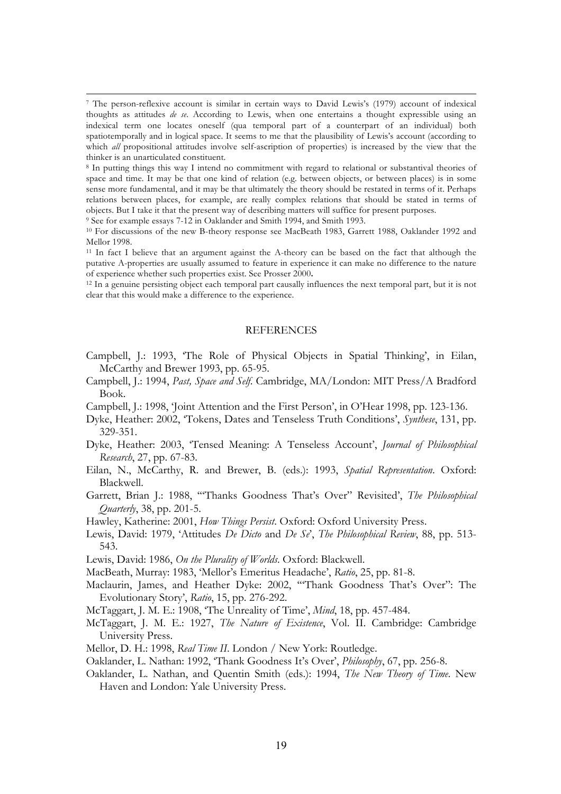<sup>8</sup> In putting things this way I intend no commitment with regard to relational or substantival theories of space and time. It may be that one kind of relation (e.g. between objects, or between places) is in some sense more fundamental, and it may be that ultimately the theory should be restated in terms of it. Perhaps relations between places, for example, are really complex relations that should be stated in terms of objects. But I take it that the present way of describing matters will suffice for present purposes.

<sup>9</sup> See for example essays 7-12 in Oaklander and Smith 1994, and Smith 1993.

 $\overline{a}$ 

<sup>11</sup> In fact I believe that an argument against the A-theory can be based on the fact that although the putative A-properties are usually assumed to feature in experience it can make no difference to the nature of experience whether such properties exist. See Prosser 2000**.**

<sup>12</sup> In a genuine persisting object each temporal part causally influences the next temporal part, but it is not clear that this would make a difference to the experience.

#### REFERENCES

- Campbell, J.: 1993, 'The Role of Physical Objects in Spatial Thinking', in Eilan, McCarthy and Brewer 1993, pp. 65-95.
- Campbell, J.: 1994, *Past, Space and Self*. Cambridge, MA/London: MIT Press/A Bradford Book.
- Campbell, J.: 1998, 'Joint Attention and the First Person', in O'Hear 1998, pp. 123-136.
- Dyke, Heather: 2002, 'Tokens, Dates and Tenseless Truth Conditions', *Synthese*, 131, pp. 329-351.
- Dyke, Heather: 2003, 'Tensed Meaning: A Tenseless Account', *Journal of Philosophical Research*, 27, pp. 67-83.
- Eilan, N., McCarthy, R. and Brewer, B. (eds.): 1993, *Spatial Representation*. Oxford: Blackwell.
- Garrett, Brian J.: 1988, '"Thanks Goodness That's Over" Revisited', *The Philosophical Quarterly*, 38, pp. 201-5.
- Hawley, Katherine: 2001, *How Things Persist*. Oxford: Oxford University Press.
- Lewis, David: 1979, 'Attitudes *De Dicto* and *De Se*', *The Philosophical Review*, 88, pp. 513- 543.

Lewis, David: 1986, *On the Plurality of Worlds*. Oxford: Blackwell.

MacBeath, Murray: 1983, 'Mellor's Emeritus Headache', *Ratio*, 25, pp. 81-8.

Maclaurin, James, and Heather Dyke: 2002, '"Thank Goodness That's Over": The Evolutionary Story', *Ratio*, 15, pp. 276-292.

McTaggart, J. M. E.: 1908, 'The Unreality of Time', *Mind*, 18, pp. 457-484.

- McTaggart, J. M. E.: 1927, *The Nature of Existence*, Vol. II. Cambridge: Cambridge University Press.
- Mellor, D. H.: 1998, *Real Time II*. London / New York: Routledge.
- Oaklander, L. Nathan: 1992, 'Thank Goodness It's Over', *Philosophy*, 67, pp. 256-8.
- Oaklander, L. Nathan, and Quentin Smith (eds.): 1994, *The New Theory of Time*. New Haven and London: Yale University Press.

<sup>7</sup> The person-reflexive account is similar in certain ways to David Lewis's (1979) account of indexical thoughts as attitudes *de se*. According to Lewis, when one entertains a thought expressible using an indexical term one locates oneself (qua temporal part of a counterpart of an individual) both spatiotemporally and in logical space. It seems to me that the plausibility of Lewis's account (according to which *all* propositional attitudes involve self-ascription of properties) is increased by the view that the thinker is an unarticulated constituent.

<sup>&</sup>lt;sup>10</sup> For discussions of the new B-theory response see MacBeath 1983, Garrett 1988, Oaklander 1992 and Mellor 1998.